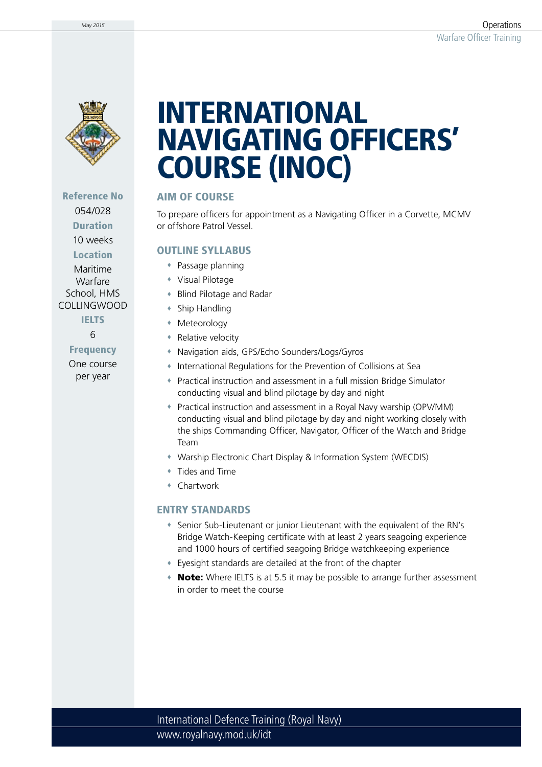

Reference No 054/028 Duration

10 weeks

**Location** Maritime

Warfare School, HMS COLLINGWOOD

> **IELTS** 6

Frequency One course per year

# INTERNATIONAL NAVIGATING OFFICERS' COURSE (INOC)

## AIM OF COURSE

To prepare officers for appointment as a Navigating Officer in a Corvette, MCMV or offshore Patrol Vessel.

### OUTLINE SYLLABUS

- Passage planning
- Visual Pilotage
- Blind Pilotage and Radar
- Ship Handling
- Meteorology
- **Relative velocity**
- Navigation aids, GPS/Echo Sounders/Logs/Gyros
- International Regulations for the Prevention of Collisions at Sea
- Practical instruction and assessment in a full mission Bridge Simulator conducting visual and blind pilotage by day and night
- Practical instruction and assessment in a Royal Navy warship (OPV/MM) conducting visual and blind pilotage by day and night working closely with the ships Commanding Officer, Navigator, Officer of the Watch and Bridge Team
- Warship Electronic Chart Display & Information System (WECDIS)
- Tides and Time
- Chartwork

#### ENTRY STANDARDS

- Senior Sub-Lieutenant or junior Lieutenant with the equivalent of the RN's Bridge Watch-Keeping certificate with at least 2 years seagoing experience and 1000 hours of certified seagoing Bridge watchkeeping experience
- Eyesight standards are detailed at the front of the chapter
- Note: Where IELTS is at 5.5 it may be possible to arrange further assessment in order to meet the course